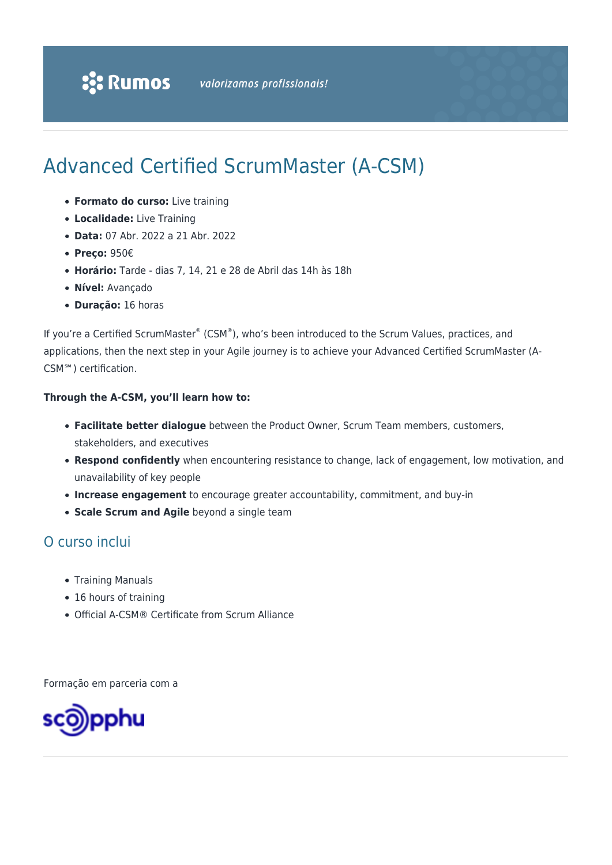# Advanced Certified ScrumMaster (A-CSM)

- **Formato do curso:** Live training
- **Localidade:** Live Training
- **Data:** 07 Abr. 2022 a 21 Abr. 2022
- **Preço:** 950€
- **Horário:** Tarde dias 7, 14, 21 e 28 de Abril das 14h às 18h
- **Nível:** Avançado
- **Duração:** 16 horas

If you're a Certified ScrumMaster® (CSM®), who's been introduced to the Scrum Values, practices, and applications, then the next step in your Agile journey is to achieve your Advanced Certified ScrumMaster (A-CSM℠) certification.

#### **Through the A-CSM, you'll learn how to:**

- **Facilitate better dialogue** between the Product Owner, Scrum Team members, customers, stakeholders, and executives
- **Respond confidently** when encountering resistance to change, lack of engagement, low motivation, and unavailability of key people
- **Increase engagement** to encourage greater accountability, commitment, and buy-in
- **Scale Scrum and Agile** beyond a single team

### O curso inclui

- Training Manuals
- 16 hours of training
- Official A-CSM® Certificate from Scrum Alliance

Formação em parceria com a

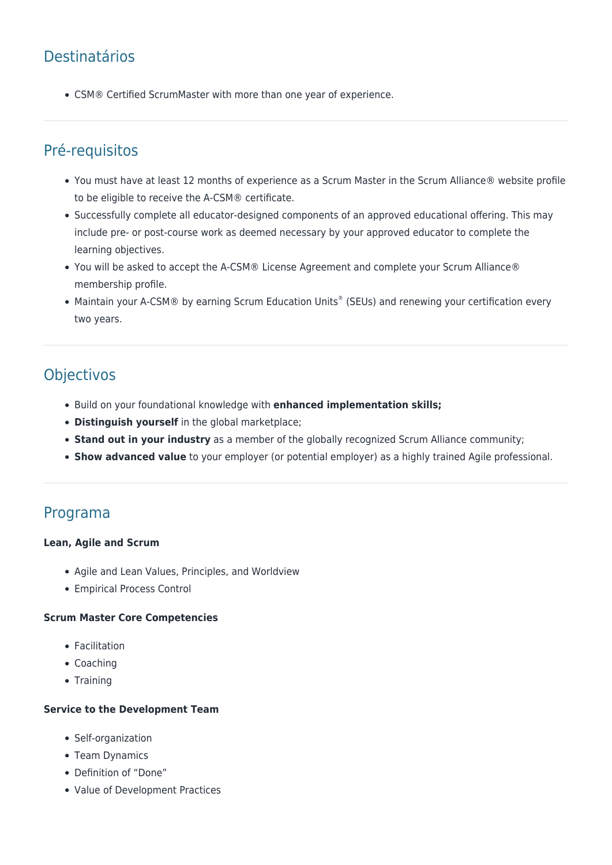# Destinatários

CSM® Certified ScrumMaster with more than one year of experience.

### Pré-requisitos

- You must have at least 12 months of experience as a Scrum Master in the Scrum Alliance® website profile to be eligible to receive the A-CSM® certificate.
- Successfully complete all educator-designed components of an approved educational offering. This may include pre- or post-course work as deemed necessary by your approved educator to complete the learning objectives.
- You will be asked to accept the A-CSM® License Agreement and complete your Scrum Alliance® membership profile.
- Maintain your A-CSM® by earning Scrum Education Units® (SEUs) and renewing your certification every two years.

## **Objectivos**

- Build on your foundational knowledge with **enhanced implementation skills;**
- **Distinguish yourself** in the global marketplace;
- **Stand out in your industry** as a member of the globally recognized Scrum Alliance community;
- **Show advanced value** to your employer (or potential employer) as a highly trained Agile professional.

### Programa

#### **Lean, Agile and Scrum**

- Agile and Lean Values, Principles, and Worldview
- Empirical Process Control

#### **Scrum Master Core Competencies**

- Facilitation
- Coaching
- Training

#### **Service to the Development Team**

- Self-organization
- Team Dynamics
- Definition of "Done"
- Value of Development Practices